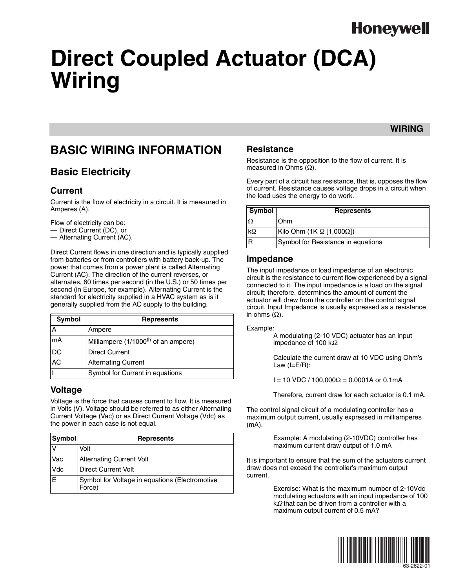# **Honeywell**

# **Direct Coupled Actuator (DCA) Wiring**

### **WIRING**

### **BASIC WIRING INFORMATION**

### **Basic Electricity**

#### **Current**

Current is the flow of electricity in a circuit. It is measured in Amperes (A).

Flow of electricity can be:

— Direct Current (DC), or

— Alternating Current (AC).

Direct Current flows in one direction and is typically supplied from batteries or from controllers with battery back-up. The power that comes from a power plant is called Alternating Current (AC). The direction of the current reverses, or alternates, 60 times per second (in the U.S.) or 50 times per second (in Europe, for example). Alternating Current is the standard for electricity supplied in a HVAC system as is it generally supplied from the AC supply to the building.

| Symbol | <b>Represents</b>                               |  |  |
|--------|-------------------------------------------------|--|--|
|        | Ampere                                          |  |  |
| mA     | Milliampere (1/1000 <sup>th</sup> of an ampere) |  |  |
| DC     | <b>Direct Current</b>                           |  |  |
| AC     | <b>Alternating Current</b>                      |  |  |
|        | Symbol for Current in equations                 |  |  |

#### **Voltage**

Voltage is the force that causes current to flow. It is measured in Volts (V). Voltage should be referred to as either Alternating Current Voltage (Vac) or as Direct Current Voltage (Vdc) as the power in each case is not equal.

| Symbol     | <b>Represents</b>                                        |  |  |  |
|------------|----------------------------------------------------------|--|--|--|
|            | Volt                                                     |  |  |  |
| Vac        | <b>Alternating Current Volt</b>                          |  |  |  |
| <b>Vdc</b> | Direct Current Volt                                      |  |  |  |
| ΙE         | Symbol for Voltage in equations (Electromotive<br>Force) |  |  |  |

#### **Resistance**

Resistance is the opposition to the flow of current. It is measured in Ohms  $(Ω)$ .

Every part of a circuit has resistance, that is, opposes the flow of current. Resistance causes voltage drops in a circuit when the load uses the energy to do work.

| Symbol    | <b>Represents</b>                  |  |  |
|-----------|------------------------------------|--|--|
|           | Ohm                                |  |  |
| $k\Omega$ | Kilo Ohm (1K Ω [1,000Ω])           |  |  |
|           | Symbol for Resistance in equations |  |  |

#### **Impedance**

The input impedance or load impedance of an electronic circuit is the resistance to current flow experienced by a signal connected to it. The input impedance is a load on the signal circuit; therefore, determines the amount of current the actuator will draw from the controller on the control signal circuit. Input Impedance is usually expressed as a resistance in ohms  $(\Omega)$ .

Example:

A modulating (2-10 VDC) actuator has an input impedance of 100 kΩ.

Calculate the current draw at 10 VDC using Ohm's Law  $(I=E/R)$ :

 $I = 10$  VDC / 100,000Ω = 0.0001A or 0.1mA

Therefore, current draw for each actuator is 0.1 mA.

The control signal circuit of a modulating controller has a maximum output current, usually expressed in milliamperes (mA).

> Example: A modulating (2-10VDC) controller has maximum current draw output of 1.0 mA

It is important to ensure that the sum of the actuators current draw does not exceed the controller's maximum output current.

> Exercise: What is the maximum number of 2-10Vdc modulating actuators with an input impedance of 100 kΩ that can be driven from a controller with a maximum output current of 0.5 mA?

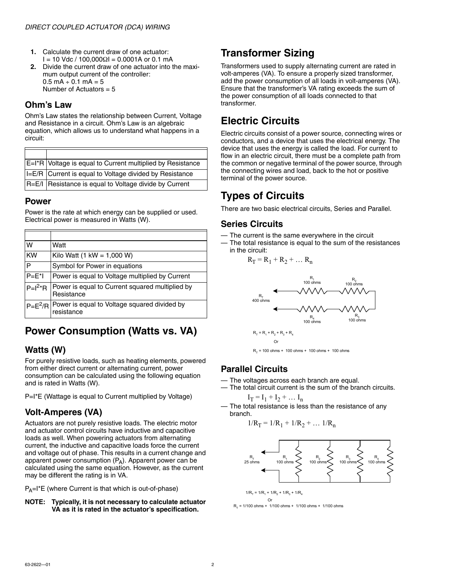- **1.** Calculate the current draw of one actuator:  $I = 10$  Vdc / 100,000 $\Omega$ I = 0,0001A or 0.1 mA
- **2.** Divide the current draw of one actuator into the maximum output current of the controller:  $0.5$  mA  $\div$  0.1 mA = 5 Number of Actuators  $= 5$

#### **Ohm's Law**

Ohm's Law states the relationship between Current, Voltage and Resistance in a circuit. Ohm's Law is an algebraic equation, which allows us to understand what happens in a circuit:

| E=I*R Voltage is equal to Current multiplied by Resistance |
|------------------------------------------------------------|
| I=E/R Current is equal to Voltage divided by Resistance    |
| R=E/I Resistance is equal to Voltage divide by Current     |

#### **Power**

Power is the rate at which energy can be supplied or used. Electrical power is measured in Watts (W).

| W           | Watt                                                                    |
|-------------|-------------------------------------------------------------------------|
| <b>KW</b>   | Kilo Watt $(1 \text{ kW} = 1,000 \text{ W})$                            |
| P           | Symbol for Power in equations                                           |
| $P=E^*$     | Power is equal to Voltage multiplied by Current                         |
| $P=I^{2*}R$ | Power is equal to Current squared multiplied by<br>Resistance           |
|             | $ P= E^2/R $ Power is equal to Voltage squared divided by<br>resistance |

### **Power Consumption (Watts vs. VA)**

#### **Watts (W)**

For purely resistive loads, such as heating elements, powered from either direct current or alternating current, power consumption can be calculated using the following equation and is rated in Watts (W).

P=I<sup>\*</sup>E (Wattage is equal to Current multiplied by Voltage)

### **Volt-Amperes (VA)**

Actuators are not purely resistive loads. The electric motor and actuator control circuits have inductive and capacitive loads as well. When powering actuators from alternating current, the inductive and capacitive loads force the current and voltage out of phase. This results in a current change and apparent power consumption  $(P_A)$ . Apparent power can be calculated using the same equation. However, as the current may be different the rating is in VA.

 $P_A=I^*E$  (where Current is that which is out-of-phase)

#### **NOTE: Typically, it is not necessary to calculate actuator VA as it is rated in the actuator's specification.**

### **Transformer Sizing**

Transformers used to supply alternating current are rated in volt-amperes (VA). To ensure a properly sized transformer, add the power consumption of all loads in volt-amperes (VA). Ensure that the transformer's VA rating exceeds the sum of the power consumption of all loads connected to that transformer.

### **Electric Circuits**

Electric circuits consist of a power source, connecting wires or conductors, and a device that uses the electrical energy. The device that uses the energy is called the load. For current to flow in an electric circuit, there must be a complete path from the common or negative terminal of the power source, through the connecting wires and load, back to the hot or positive terminal of the power source.

### **Types of Circuits**

There are two basic electrical circuits, Series and Parallel.

### **Series Circuits**

- The current is the same everywhere in the circuit
- The total resistance is equal to the sum of the resistances in the circuit:

$$
R_T = R_1 + R_2 + \dots R_n
$$



#### **Parallel Circuits**

- The voltages across each branch are equal.
- The total circuit current is the sum of the branch circuits.

$$
\mathbf{I}_T = \mathbf{I}_1 + \mathbf{I}_2 + \dots \mathbf{I}_n
$$

— The total resistance is less than the resistance of any branch.

$$
1/R_T = 1/R_1 + 1/R_2 + \dots 1/R_n
$$



 $1/R<sub>z</sub> = 1/R<sub>z</sub> + 1/R<sub>z</sub> + 1/R<sub>z</sub> + 1/R<sub>z</sub>$ Or

 $R_T = 1/100$  ohms + 1/100 ohms + 1/100 ohms + 1/100 ohms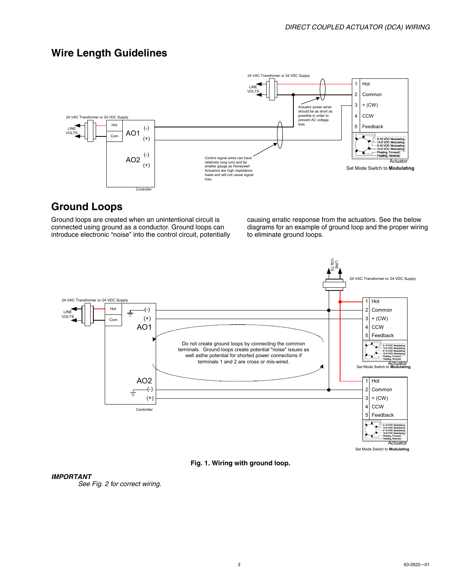### **Wire Length Guidelines**



### **Ground Loops**

Ground loops are created when an unintentional circuit is connected using ground as a conductor. Ground loops can introduce electronic "noise" into the control circuit, potentially

causing erratic response from the actuators. See the below diagrams for an example of ground loop and the proper wiring to eliminate ground loops.





#### *IMPORTANT*

*See Fig. 2 for correct wiring.*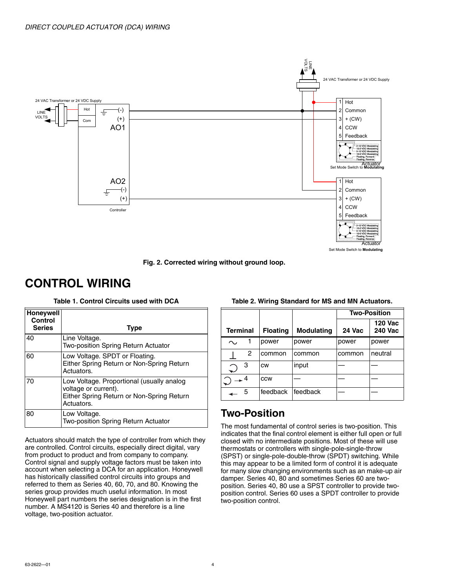

**Fig. 2. Corrected wiring without ground loop.**

### **CONTROL WIRING**

**Table 1. Control Circuits used with DCA**

| <b>Honeywell</b><br>Control<br><b>Series</b> | <b>Type</b>                                                                                                                  |
|----------------------------------------------|------------------------------------------------------------------------------------------------------------------------------|
| 40                                           | Line Voltage.<br><b>Two-position Spring Return Actuator</b>                                                                  |
| 60                                           | Low Voltage. SPDT or Floating.<br>Either Spring Return or Non-Spring Return<br>Actuators.                                    |
| 70                                           | Low Voltage. Proportional (usually analog<br>voltage or current).<br>Either Spring Return or Non-Spring Return<br>Actuators. |
| 80                                           | Low Voltage.<br>Two-position Spring Return Actuator                                                                          |

Actuators should match the type of controller from which they are controlled. Control circuits, especially direct digital, vary from product to product and from company to company. Control signal and supply voltage factors must be taken into account when selecting a DCA for an application. Honeywell has historically classified control circuits into groups and referred to them as Series 40, 60, 70, and 80. Knowing the series group provides much useful information. In most Honeywell part numbers the series designation is in the first number. A MS4120 is Series 40 and therefore is a line voltage, two-position actuator.

|                 |     |                 |                   | <b>Two-Position</b> |                                  |
|-----------------|-----|-----------------|-------------------|---------------------|----------------------------------|
| <b>Terminal</b> |     | <b>Floating</b> | <b>Modulating</b> | 24 Vac              | <b>120 Vac</b><br><b>240 Vac</b> |
| ⌒.              |     | power           | power             | power               | power                            |
|                 | 2   | common          | common            | common              | neutral                          |
|                 | 3   | CW              | input             |                     |                                  |
|                 | . 4 | CCW             |                   |                     |                                  |
|                 | 5   | feedback        | feedback          |                     |                                  |

#### **Table 2. Wiring Standard for MS and MN Actuators.**

### **Two-Position**

The most fundamental of control series is two-position. This indicates that the final control element is either full open or full closed with no intermediate positions. Most of these will use thermostats or controllers with single-pole-single-throw (SPST) or single-pole-double-throw (SPDT) switching. While this may appear to be a limited form of control it is adequate for many slow changing environments such as an make-up air damper. Series 40, 80 and sometimes Series 60 are twoposition. Series 40, 80 use a SPST controller to provide twoposition control. Series 60 uses a SPDT controller to provide two-position control.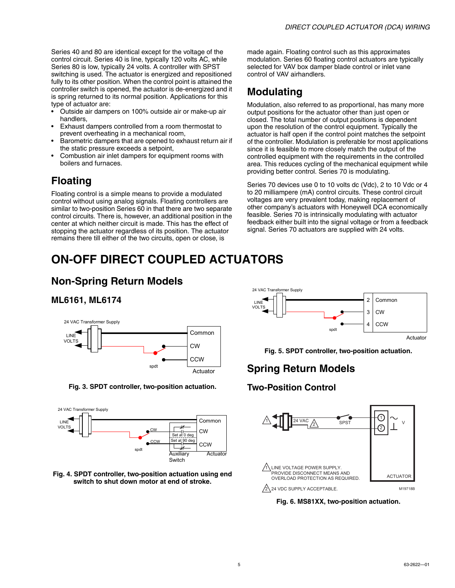Series 40 and 80 are identical except for the voltage of the control circuit. Series 40 is line, typically 120 volts AC, while Series 80 is low, typically 24 volts. A controller with SPST switching is used. The actuator is energized and repositioned fully to its other position. When the control point is attained the controller switch is opened, the actuator is de-energized and it is spring returned to its normal position. Applications for this type of actuator are:

- Outside air dampers on 100% outside air or make-up air handlers,
- Exhaust dampers controlled from a room thermostat to prevent overheating in a mechanical room,
- Barometric dampers that are opened to exhaust return air if the static pressure exceeds a setpoint,
- Combustion air inlet dampers for equipment rooms with boilers and furnaces.

### **Floating**

Floating control is a simple means to provide a modulated control without using analog signals. Floating controllers are similar to two-position Series 60 in that there are two separate control circuits. There is, however, an additional position in the center at which neither circuit is made. This has the effect of stopping the actuator regardless of its position. The actuator remains there till either of the two circuits, open or close, is

made again. Floating control such as this approximates modulation. Series 60 floating control actuators are typically selected for VAV box damper blade control or inlet vane control of VAV airhandlers.

### **Modulating**

Modulation, also referred to as proportional, has many more output positions for the actuator other than just open or closed. The total number of output positions is dependent upon the resolution of the control equipment. Typically the actuator is half open if the control point matches the setpoint of the controller. Modulation is preferable for most applications since it is feasible to more closely match the output of the controlled equipment with the requirements in the controlled area. This reduces cycling of the mechanical equipment while providing better control. Series 70 is modulating.

Series 70 devices use 0 to 10 volts dc (Vdc), 2 to 10 Vdc or 4 to 20 milliampere (mA) control circuits. These control circuit voltages are very prevalent today, making replacement of other company's actuators with Honeywell DCA economically feasible. Series 70 is intrinsically modulating with actuator feedback either built into the signal voltage or from a feedback signal. Series 70 actuators are supplied with 24 volts.

# **ON-OFF DIRECT COUPLED ACTUATORS**

### **Non-Spring Return Models**

### **ML6161, ML6174**



**Fig. 3. SPDT controller, two-position actuation.**







**Fig. 5. SPDT controller, two-position actuation.**

### **Spring Return Models**

### **Two-Position Control**



**Fig. 6. MS81XX, two-position actuation.**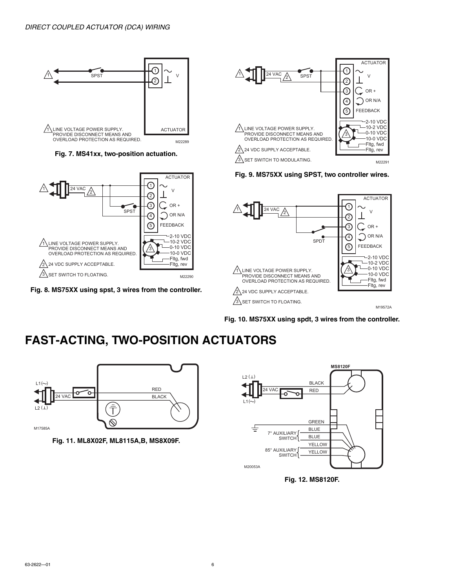

**Fig. 7. MS41xx, two-position actuation.**



**Fig. 8. MS75XX using spst, 3 wires from the controller.**



**Fig. 9. MS75XX using SPST, two controller wires.**



**Fig. 10. MS75XX using spdt, 3 wires from the controller.**

## **FAST-ACTING, TWO-POSITION ACTUATORS**







**Fig. 12. MS8120F.**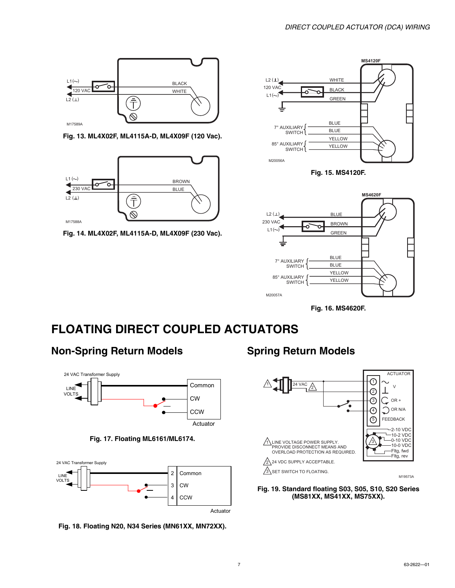

**Fig. 13. ML4X02F, ML4115A-D, ML4X09F (120 Vac).**



**Fig. 14. ML4X02F, ML4115A-D, ML4X09F (230 Vac).**



**Fig. 15. MS4120F.**



**Fig. 16. MS4620F.**

### **FLOATING DIRECT COUPLED ACTUATORS**

### **Non-Spring Return Models**







**Fig. 18. Floating N20, N34 Series (MN61XX, MN72XX).**

### **Spring Return Models**



**Fig. 19. Standard floating S03, S05, S10, S20 Series (MS81XX, MS41XX, MS75XX).**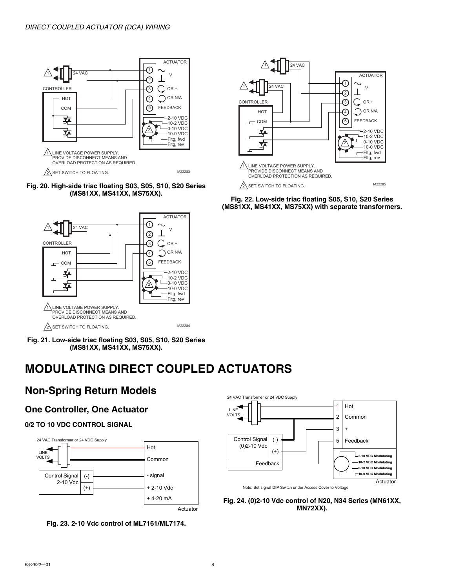





**Fig. 21. Low-side triac floating S03, S05, S10, S20 Series (MS81XX, MS41XX, MS75XX).**

# **MODULATING DIRECT COUPLED ACTUATORS**

### **Non-Spring Return Models**

### **One Controller, One Actuator**

#### **0/2 TO 10 VDC CONTROL SIGNAL**







**Fig. 22. Low-side triac floating S05, S10, S20 Series (MS81XX, MS41XX, MS75XX) with separate transformers.**



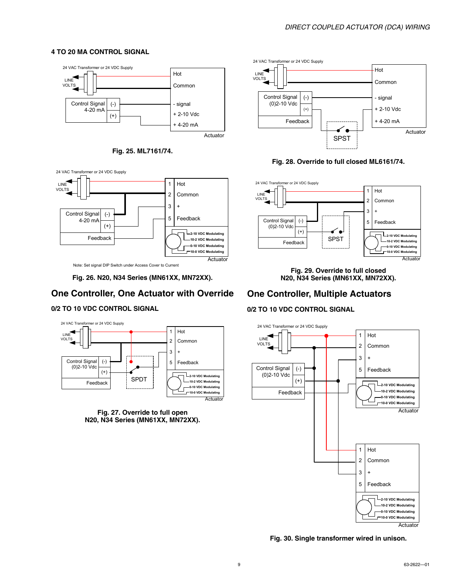#### **4 TO 20 MA CONTROL SIGNAL**



**Fig. 25. ML7161/74.**



Note: Set signal DIP Switch under Access Cover to Current

**Fig. 26. N20, N34 Series (MN61XX, MN72XX).**

#### **One Controller, One Actuator with Override**

#### **0/2 TO 10 VDC CONTROL SIGNAL**



**Fig. 27. Override to full open N20, N34 Series (MN61XX, MN72XX).**



#### **Fig. 28. Override to full closed ML6161/74.**



**Fig. 29. Override to full closed N20, N34 Series (MN61XX, MN72XX).**

### **One Controller, Multiple Actuators**

#### **0/2 TO 10 VDC CONTROL SIGNAL**



**Fig. 30. Single transformer wired in unison.**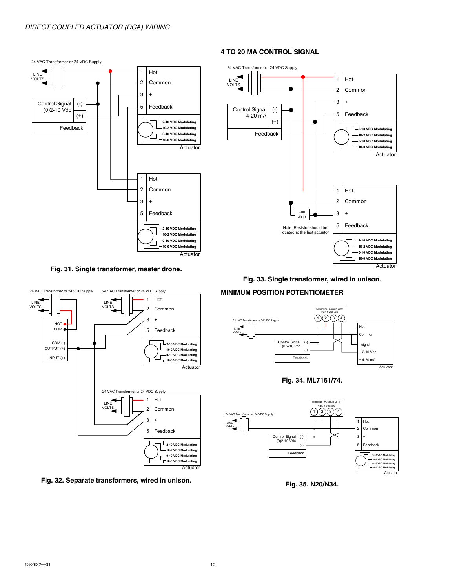

#### **Fig. 31. Single transformer, master drone.**



**Fig. 32. Separate transformers, wired in unison.**

#### **4 TO 20 MA CONTROL SIGNAL**



**Fig. 33. Single transformer, wired in unison.**

#### **MINIMUM POSITION POTENTIOMETER**







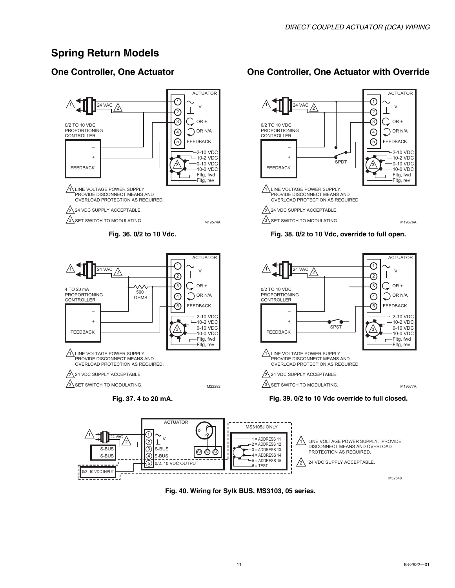### **Spring Return Models**

### **One Controller, One Actuator**



### **One Controller, One Actuator with Override**







**Fig. 40. Wiring for Sylk BUS, MS3103, 05 series.**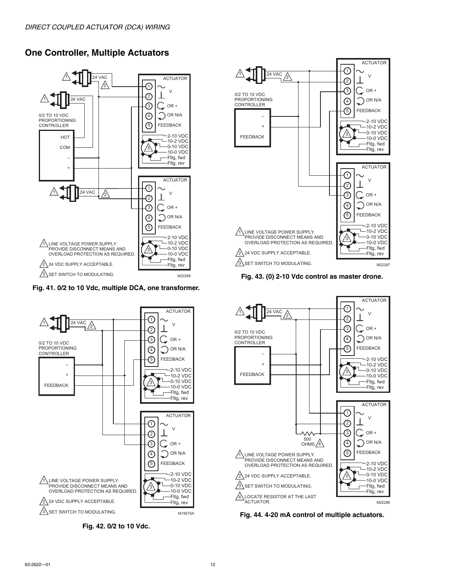### **One Controller, Multiple Actuators**



#### **Fig. 41. 0/2 to 10 Vdc, multiple DCA, one transformer.**



**Fig. 42. 0/2 to 10 Vdc.**



**Fig. 43. (0) 2-10 Vdc control as master drone.**



**Fig. 44. 4-20 mA control of multiple actuators.**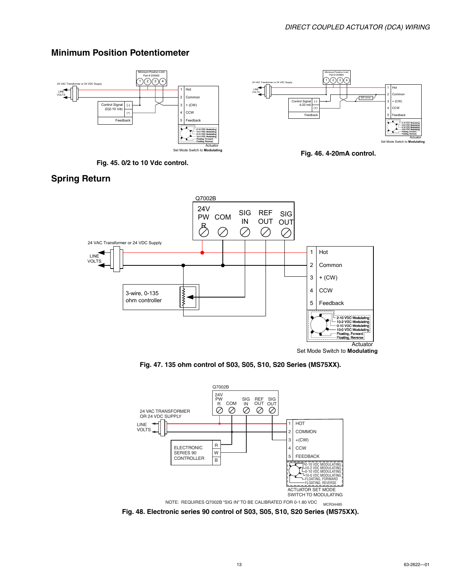

**Fig. 45. 0/2 to 10 Vdc control.**

### **Minimum Position Potentiometer**



Minimum Position Limit

**Fig. 46. 4-20mA control.**

### **Spring Return**



**Fig. 47. 135 ohm control of S03, S05, S10, S20 Series (MS75XX).**



**Fig. 48. Electronic series 90 control of S03, S05, S10, S20 Series (MS75XX).**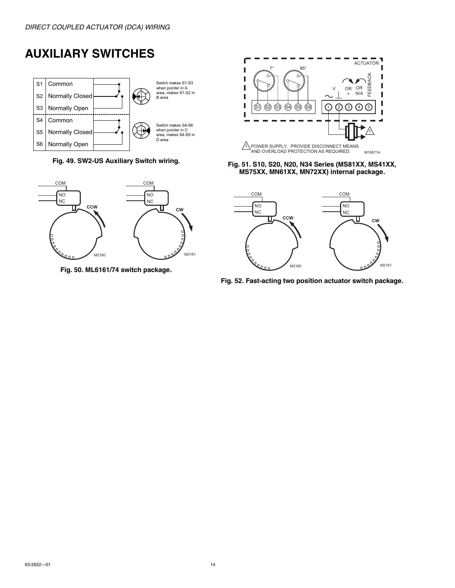# **AUXILIARY SWITCHES**



**Fig. 49. SW2-US Auxiliary Switch wiring.**



**Fig. 50. ML6161/74 switch package.**



#### **Fig. 51. S10, S20, N20, N34 Series (MS81XX, MS41XX, MS75XX, MN61XX, MN72XX) internal package.**



**Fig. 52. Fast-acting two position actuator switch package.**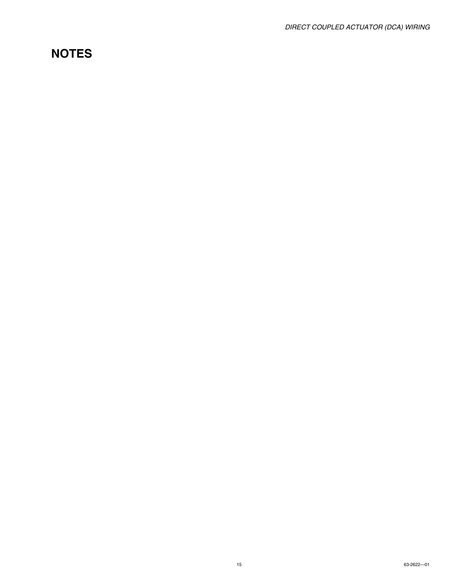### **NOTES**